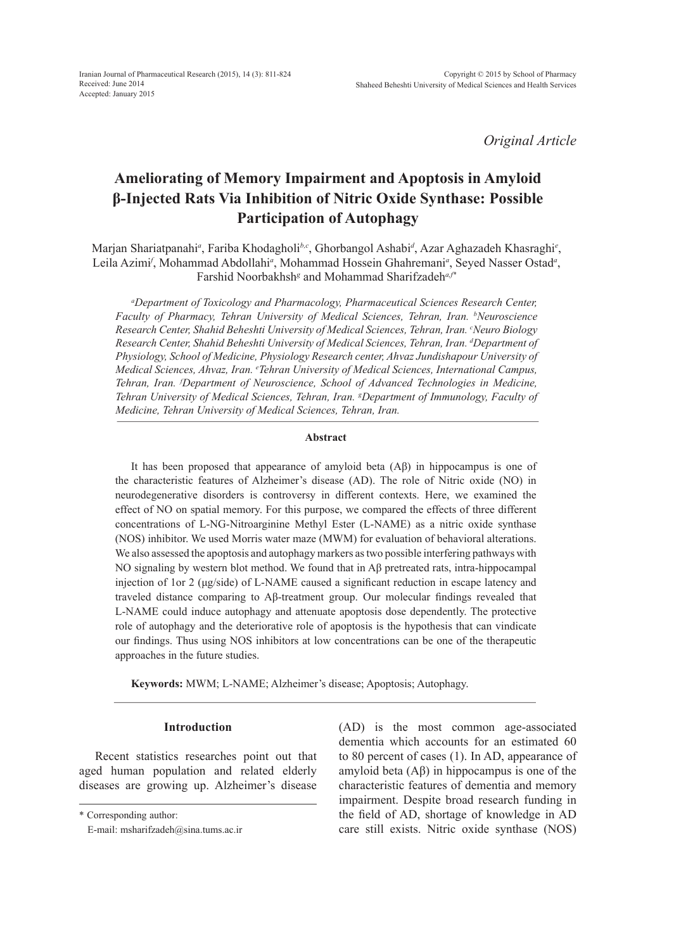*Original Article*

# **Ameliorating of Memory Impairment and Apoptosis in Amyloid β-Injected Rats Via Inhibition of Nitric Oxide Synthase: Possible Participation of Autophagy**

Marjan Shariatpanahi<sup>a</sup>, Fariba Khodagholi<sup>b,c</sup>, Ghorbangol Ashabi<sup>a</sup>, Azar Aghazadeh Khasraghi<sup>e</sup>, Leila Azimi<sup>*f*</sup>, Mohammad Abdollahi<sup>a</sup>, Mohammad Hossein Ghahremani<sup>a</sup>, Seyed Nasser Ostad<sup>a</sup>, Farshid Noorbakhsh*<sup>g</sup>* and Mohammad Sharifzadeh*a,f\**

*a Department of Toxicology and Pharmacology, Pharmaceutical Sciences Research Center, Faculty of Pharmacy, Tehran University of Medical Sciences, Tehran, Iran. b Neuroscience*  Research Center, Shahid Beheshti University of Medical Sciences, Tehran, Iran. <sup>c</sup>Neuro Biology *Research Center, Shahid Beheshti University of Medical Sciences, Tehran, Iran. d Department of Physiology, School of Medicine, Physiology Research center, Ahvaz Jundishapour University of Medical Sciences, Ahvaz, Iran. e Tehran University of Medical Sciences, International Campus, Tehran, Iran. f Department of Neuroscience, School of Advanced Technologies in Medicine, Tehran University of Medical Sciences, Tehran, Iran. g Department of Immunology, Faculty of Medicine, Tehran University of Medical Sciences, Tehran, Iran.*

#### **Abstract**

It has been proposed that appearance of amyloid beta (Aβ) in hippocampus is one of the characteristic features of Alzheimer's disease (AD). The role of Nitric oxide (NO) in neurodegenerative disorders is controversy in different contexts. Here, we examined the effect of NO on spatial memory. For this purpose, we compared the effects of three different concentrations of L-NG-Nitroarginine Methyl Ester (L-NAME) as a nitric oxide synthase (NOS) inhibitor. We used Morris water maze (MWM) for evaluation of behavioral alterations. We also assessed the apoptosis and autophagy markers as two possible interfering pathways with NO signaling by western blot method. We found that in Aβ pretreated rats, intra-hippocampal injection of 1or 2 (μg/side) of L-NAME caused a significant reduction in escape latency and traveled distance comparing to Aβ-treatment group. Our molecular findings revealed that L-NAME could induce autophagy and attenuate apoptosis dose dependently. The protective role of autophagy and the deteriorative role of apoptosis is the hypothesis that can vindicate our findings. Thus using NOS inhibitors at low concentrations can be one of the therapeutic approaches in the future studies.

**Keywords:** MWM; L-NAME; Alzheimer's disease; Apoptosis; Autophagy.

## **Introduction**

Recent statistics researches point out that aged human population and related elderly diseases are growing up. Alzheimer's disease

(AD) is the most common age-associated dementia which accounts for an estimated 60 to 80 percent of cases (1). In AD, appearance of amyloid beta (Aβ) in hippocampus is one of the characteristic features of dementia and memory impairment. Despite broad research funding in the field of AD, shortage of knowledge in AD care still exists. Nitric oxide synthase (NOS)

<sup>\*</sup> Corresponding author:

E-mail: msharifzadeh@sina.tums.ac.ir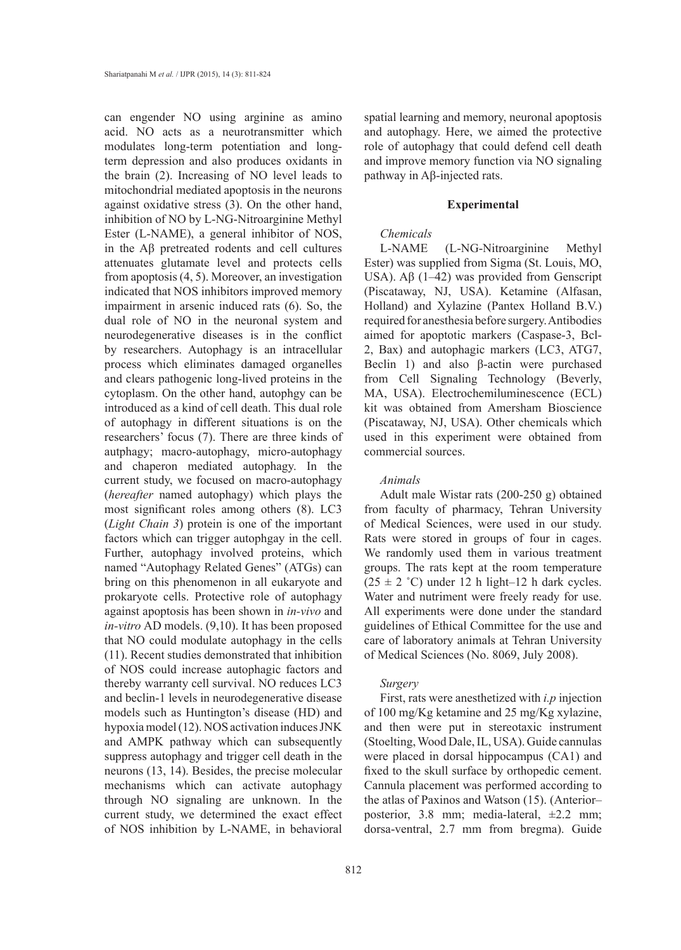can engender NO using arginine as amino acid. NO acts as a neurotransmitter which modulates long-term potentiation and longterm depression and also produces oxidants in the brain (2). Increasing of NO level leads to mitochondrial mediated apoptosis in the neurons against oxidative stress (3). On the other hand, inhibition of NO by L-NG-Nitroarginine Methyl Ester (L-NAME), a general inhibitor of NOS, in the Aβ pretreated rodents and cell cultures attenuates glutamate level and protects cells from apoptosis (4, 5). Moreover, an investigation indicated that NOS inhibitors improved memory impairment in arsenic induced rats (6). So, the dual role of NO in the neuronal system and neurodegenerative diseases is in the conflict by researchers. Autophagy is an intracellular process which eliminates damaged organelles and clears pathogenic long-lived proteins in the cytoplasm. On the other hand, autophgy can be introduced as a kind of cell death. This dual role of autophagy in different situations is on the researchers' focus (7). There are three kinds of autphagy; macro-autophagy, micro-autophagy and chaperon mediated autophagy. In the current study, we focused on macro-autophagy (*hereafter* named autophagy) which plays the most significant roles among others (8). LC3 (*Light Chain 3*) protein is one of the important factors which can trigger autophgay in the cell. Further, autophagy involved proteins, which named "Autophagy Related Genes" (ATGs) can bring on this phenomenon in all eukaryote and prokaryote cells. Protective role of autophagy against apoptosis has been shown in *in-vivo* and *in-vitro* AD models. (9,10). It has been proposed that NO could modulate autophagy in the cells (11). Recent studies demonstrated that inhibition of NOS could increase autophagic factors and thereby warranty cell survival. NO reduces LC3 and beclin-1 levels in neurodegenerative disease models such as Huntington's disease (HD) and hypoxia model (12). NOS activation induces JNK and AMPK pathway which can subsequently suppress autophagy and trigger cell death in the neurons (13, 14). Besides, the precise molecular mechanisms which can activate autophagy through NO signaling are unknown. In the current study, we determined the exact effect of NOS inhibition by L-NAME, in behavioral

spatial learning and memory, neuronal apoptosis and autophagy. Here, we aimed the protective role of autophagy that could defend cell death and improve memory function via NO signaling pathway in Aβ-injected rats.

#### **Experimental**

#### *Chemicals*

L-NAME (L-NG-Nitroarginine Methyl Ester) was supplied from Sigma (St. Louis, MO, USA).  $\text{AB}(1-42)$  was provided from Genscript (Piscataway, NJ, USA). Ketamine (Alfasan, Holland) and Xylazine (Pantex Holland B.V.) required for anesthesia before surgery. Antibodies aimed for apoptotic markers (Caspase-3, Bcl-2, Bax) and autophagic markers (LC3, ATG7, Beclin 1) and also β-actin were purchased from Cell Signaling Technology (Beverly, MA, USA). Electrochemiluminescence (ECL) kit was obtained from Amersham Bioscience (Piscataway, NJ, USA). Other chemicals which used in this experiment were obtained from commercial sources.

#### *Animals*

Adult male Wistar rats (200-250 g) obtained from faculty of pharmacy, Tehran University of Medical Sciences, were used in our study. Rats were stored in groups of four in cages. We randomly used them in various treatment groups. The rats kept at the room temperature  $(25 \pm 2 \degree C)$  under 12 h light–12 h dark cycles. Water and nutriment were freely ready for use. All experiments were done under the standard guidelines of Ethical Committee for the use and care of laboratory animals at Tehran University of Medical Sciences (No. 8069, July 2008).

#### *Surgery*

First, rats were anesthetized with *i.p* injection of 100 mg/Kg ketamine and 25 mg/Kg xylazine, and then were put in stereotaxic instrument (Stoelting, Wood Dale, IL, USA). Guide cannulas were placed in dorsal hippocampus (CA1) and fixed to the skull surface by orthopedic cement. Cannula placement was performed according to the atlas of Paxinos and Watson (15). (Anterior– posterior, 3.8 mm; media-lateral, ±2.2 mm; dorsa-ventral, 2.7 mm from bregma). Guide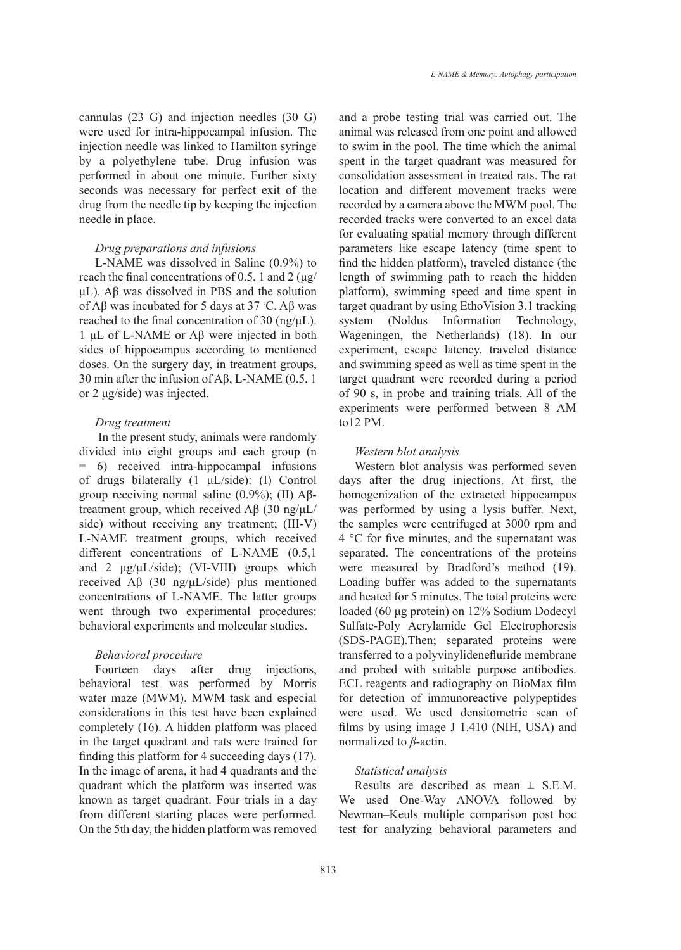cannulas (23 G) and injection needles (30 G) were used for intra-hippocampal infusion. The injection needle was linked to Hamilton syringe by a polyethylene tube. Drug infusion was performed in about one minute. Further sixty seconds was necessary for perfect exit of the drug from the needle tip by keeping the injection needle in place.

#### *Drug preparations and infusions*

L-NAME was dissolved in Saline (0.9%) to reach the final concentrations of 0.5, 1 and 2 ( $\mu$ g/ μL). Aβ was dissolved in PBS and the solution of Aβ was incubated for 5 days at 37 °C. Aβ was reached to the final concentration of 30 (ng/μL). 1 μL of L-NAME or Aβ were injected in both sides of hippocampus according to mentioned doses. On the surgery day, in treatment groups, 30 min after the infusion of Aβ, L-NAME (0.5, 1 or 2 μg/side) was injected.

## *Drug treatment*

 In the present study, animals were randomly divided into eight groups and each group (n = 6) received intra-hippocampal infusions of drugs bilaterally (1 μL/side): (I) Control group receiving normal saline  $(0.9\%)$ ; (II) Aβtreatment group, which received Aβ (30 ng/μL/ side) without receiving any treatment; (III-V) L-NAME treatment groups, which received different concentrations of L-NAME (0.5,1 and 2  $\mu$ g/ $\mu$ L/side); (VI-VIII) groups which received Aβ (30 ng/μL/side) plus mentioned concentrations of L-NAME. The latter groups went through two experimental procedures: behavioral experiments and molecular studies.

## *Behavioral procedure*

Fourteen days after drug injections, behavioral test was performed by Morris water maze (MWM). MWM task and especial considerations in this test have been explained completely (16). A hidden platform was placed in the target quadrant and rats were trained for finding this platform for 4 succeeding days (17). In the image of arena, it had 4 quadrants and the quadrant which the platform was inserted was known as target quadrant. Four trials in a day from different starting places were performed. On the 5th day, the hidden platform was removed and a probe testing trial was carried out. The animal was released from one point and allowed to swim in the pool. The time which the animal spent in the target quadrant was measured for consolidation assessment in treated rats. The rat location and different movement tracks were recorded by a camera above the MWM pool. The recorded tracks were converted to an excel data for evaluating spatial memory through different parameters like escape latency (time spent to find the hidden platform), traveled distance (the length of swimming path to reach the hidden platform), swimming speed and time spent in target quadrant by using EthoVision 3.1 tracking system (Noldus Information Technology, Wageningen, the Netherlands) (18). In our experiment, escape latency, traveled distance and swimming speed as well as time spent in the target quadrant were recorded during a period of 90 s, in probe and training trials. All of the experiments were performed between 8 AM to12 PM.

#### *Western blot analysis*

Western blot analysis was performed seven days after the drug injections. At first, the homogenization of the extracted hippocampus was performed by using a lysis buffer. Next, the samples were centrifuged at 3000 rpm and 4 °C for five minutes, and the supernatant was separated. The concentrations of the proteins were measured by Bradford's method (19). Loading buffer was added to the supernatants and heated for 5 minutes. The total proteins were loaded (60 μg protein) on 12% Sodium Dodecyl Sulfate-Poly Acrylamide Gel Electrophoresis (SDS-PAGE).Then; separated proteins were transferred to a polyvinylidenefluride membrane and probed with suitable purpose antibodies. ECL reagents and radiography on BioMax film for detection of immunoreactive polypeptides were used. We used densitometric scan of films by using image J 1.410 (NIH, USA) and normalized to *β*-actin.

## *Statistical analysis*

Results are described as mean  $\pm$  S.E.M. We used One-Way ANOVA followed by Newman–Keuls multiple comparison post hoc test for analyzing behavioral parameters and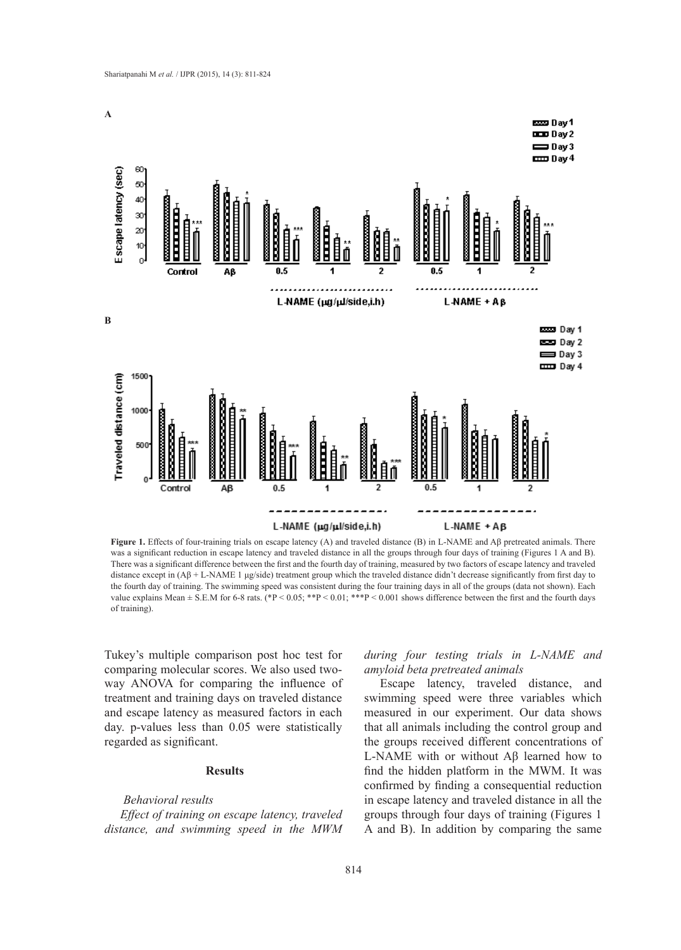

**Figure 1.** Effects of four-training trials on escape latency (A) and traveled distance (B) in L-NAME and Aβ pretreated animals. There was a significant reduction in escape latency and traveled distance in all the groups through four days of training (Figures 1 A and B). There was a significant difference between the first and the fourth day of training, measured by two factors of escape latency and traveled distance except in  $(A\beta + L-NAME\ 1\ \mu g/\text{side})$  treatment group which the traveled distance didn't decrease significantly from first day to the fourth day of training. The swimming speed was consistent during the four training days in all of the groups (data not shown). Each value explains Mean  $\pm$  S.E.M for 6-8 rats. (\*P < 0.05; \*\*P < 0.01; \*\*\*P < 0.001 shows difference between the first and the fourth days of training).

Tukey's multiple comparison post hoc test for comparing molecular scores. We also used twoway ANOVA for comparing the influence of treatment and training days on traveled distance and escape latency as measured factors in each day. p-values less than 0.05 were statistically regarded as significant.

# **Results**

#### *Behavioral results*

*Effect of training on escape latency, traveled distance, and swimming speed in the MWM*  *during four testing trials in L-NAME and amyloid beta pretreated animals* 

Escape latency, traveled distance, and swimming speed were three variables which measured in our experiment. Our data shows that all animals including the control group and the groups received different concentrations of L-NAME with or without Aβ learned how to find the hidden platform in the MWM. It was confirmed by finding a consequential reduction in escape latency and traveled distance in all the groups through four days of training (Figures 1 A and B). In addition by comparing the same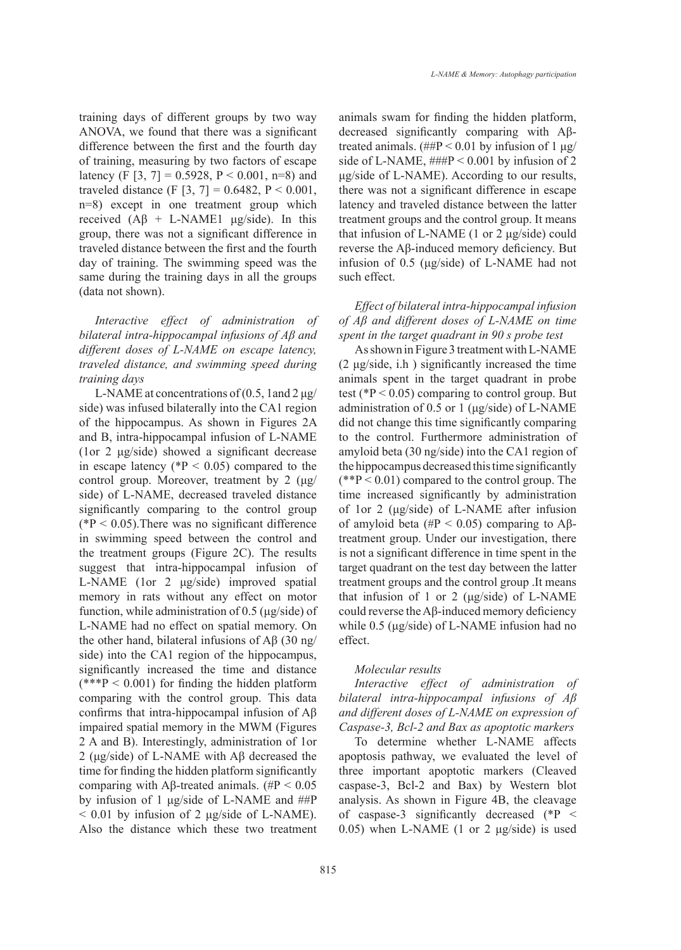training days of different groups by two way ANOVA, we found that there was a significant difference between the first and the fourth day of training, measuring by two factors of escape latency (F [3, 7] = 0.5928, P < 0.001, n=8) and traveled distance (F [3, 7] = 0.6482, P < 0.001, n=8) except in one treatment group which received  $(A\beta + L-NAME1 \mu g/side)$ . In this group, there was not a significant difference in traveled distance between the first and the fourth day of training. The swimming speed was the same during the training days in all the groups (data not shown).

*Interactive effect of administration of bilateral intra-hippocampal infusions of Aβ and different doses of L-NAME on escape latency, traveled distance, and swimming speed during training days*

L-NAME at concentrations of  $(0.5, 1$  and  $2 \mu$ g/ side) was infused bilaterally into the CA1 region of the hippocampus. As shown in Figures 2A and B, intra-hippocampal infusion of L-NAME (1or 2 μg/side) showed a significant decrease in escape latency ( ${}^{*}P$  < 0.05) compared to the control group. Moreover, treatment by 2 (μg/ side) of L-NAME, decreased traveled distance significantly comparing to the control group  $(*P < 0.05)$ . There was no significant difference in swimming speed between the control and the treatment groups (Figure 2C). The results suggest that intra-hippocampal infusion of L-NAME (1or 2 μg/side) improved spatial memory in rats without any effect on motor function, while administration of 0.5 (μg/side) of L-NAME had no effect on spatial memory. On the other hand, bilateral infusions of  $\text{A}\beta$  (30 ng/ side) into the CA1 region of the hippocampus, significantly increased the time and distance  $(***P < 0.001)$  for finding the hidden platform comparing with the control group. This data confirms that intra-hippocampal infusion of Aβ impaired spatial memory in the MWM (Figures 2 A and B). Interestingly, administration of 1or 2 (μg/side) of L-NAME with Aβ decreased the time for finding the hidden platform significantly comparing with Aβ-treated animals. (#P <  $0.05$ ) by infusion of 1 μg/side of L-NAME and ##P  $< 0.01$  by infusion of 2 μg/side of L-NAME). Also the distance which these two treatment

animals swam for finding the hidden platform, decreased significantly comparing with Aβtreated animals. ( $\#P < 0.01$  by infusion of 1  $\mu$ g/ side of L-NAME,  $\# \# \Psi \leq 0.001$  by infusion of 2 μg/side of L-NAME). According to our results, there was not a significant difference in escape latency and traveled distance between the latter treatment groups and the control group. It means that infusion of L-NAME (1 or 2 μg/side) could reverse the Aβ-induced memory deficiency. But infusion of 0.5 (μg/side) of L-NAME had not such effect.

*Effect of bilateral intra-hippocampal infusion of Aβ and different doses of L-NAME on time spent in the target quadrant in 90 s probe test*

As shown in Figure 3 treatment with L-NAME (2 μg/side, i.h ) significantly increased the time animals spent in the target quadrant in probe test ( $P < 0.05$ ) comparing to control group. But administration of 0.5 or 1 (μg/side) of L-NAME did not change this time significantly comparing to the control. Furthermore administration of amyloid beta (30 ng/side) into the CA1 region of the hippocampus decreased this time significantly  $(*P < 0.01)$  compared to the control group. The time increased significantly by administration of 1or 2 (μg/side) of L-NAME after infusion of amyloid beta (#P < 0.05) comparing to A $\beta$ treatment group. Under our investigation, there is not a significant difference in time spent in the target quadrant on the test day between the latter treatment groups and the control group .It means that infusion of 1 or 2 ( $\mu$ g/side) of L-NAME could reverse the Aβ-induced memory deficiency while 0.5 (μg/side) of L-NAME infusion had no effect.

#### *Molecular results*

*Interactive effect of administration of bilateral intra-hippocampal infusions of Aβ and different doses of L-NAME on expression of Caspase-3, Bcl-2 and Bax as apoptotic markers*

To determine whether L-NAME affects apoptosis pathway, we evaluated the level of three important apoptotic markers (Cleaved caspase-3, Bcl-2 and Bax) by Western blot analysis. As shown in Figure 4B, the cleavage of caspase-3 significantly decreased  $(*P <$ 0.05) when L-NAME (1 or 2 μg/side) is used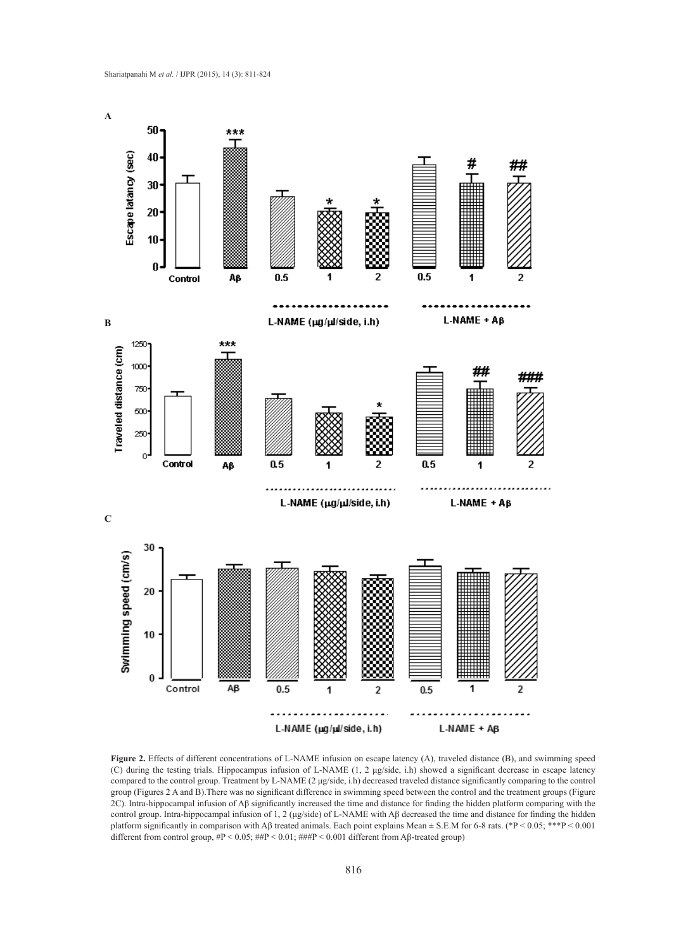

Figure 2. Effects of different concentrations of L-NAME infusion on escape latency (A), traveled distance (B), and swimming speed (C) during the testing trials. Hippocampus infusion of L-NAME (1, 2 μg/side, i.h) showed a significant decrease in escape latency compared to the control group. Treatment by L-NAME (2 μg/side, i.h) decreased traveled distance significantly comparing to the control group (Figures 2 A and B).There was no significant difference in swimming speed between the control and the treatment groups (Figure 2C). Intra-hippocampal infusion of Aβ significantly increased the time and distance for finding the hidden platform comparing with the control group. Intra-hippocampal infusion of 1, 2 (μg/side) of L-NAME with Aβ decreased the time and distance for finding the hidden platform significantly in comparison with Aβ treated animals. Each point explains Mean  $\pm$  S.E.M for 6-8 rats. (\*P < 0.05; \*\*\*P < 0.001 different from control group, #P < 0.05; ##P < 0.01; ###P < 0.001 different from Aβ-treated group)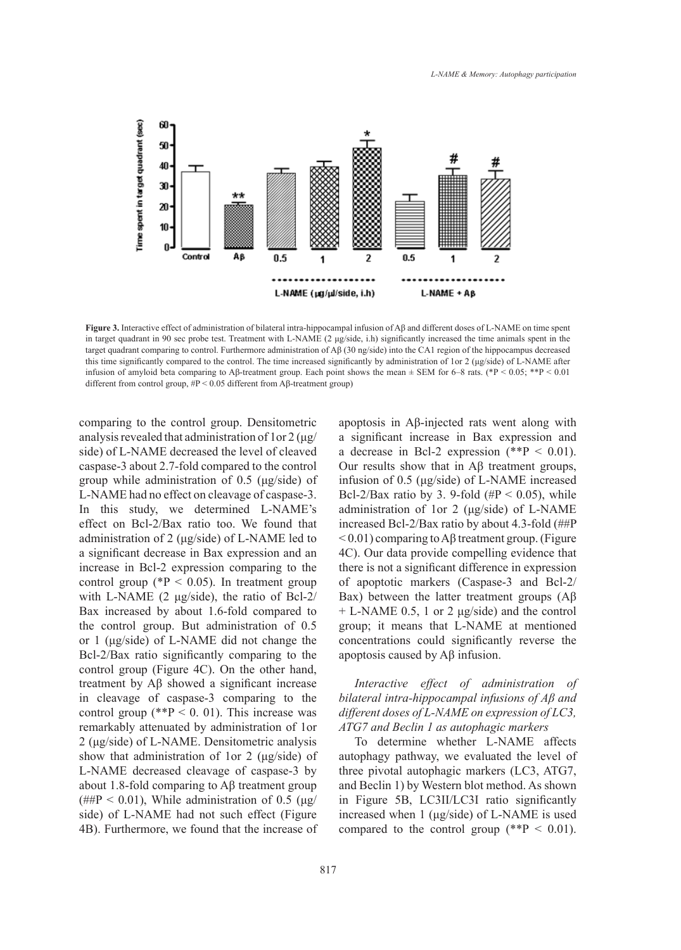

**Figure 3.** Interactive effect of administration of bilateral intra-hippocampal infusion of Aβ and different doses of L-NAME on time spent in target quadrant in 90 sec probe test. Treatment with L-NAME (2 μg/side, i.h) significantly increased the time animals spent in the target quadrant comparing to control. Furthermore administration of Aβ (30 ng/side) into the CA1 region of the hippocampus decreased this time significantly compared to the control. The time increased significantly by administration of 1or 2 (μg/side) of L-NAME after infusion of amyloid beta comparing to Aβ-treatment group. Each point shows the mean ± SEM for 6–8 rats. (\*P < 0.05; \*\*P < 0.01 different from control group, #P < 0.05 different from Aβ-treatment group)

comparing to the control group. Densitometric analysis revealed that administration of  $1$  or  $2(\mu g)$ side) of L-NAME decreased the level of cleaved caspase-3 about 2.7-fold compared to the control group while administration of 0.5 (μg/side) of L-NAME had no effect on cleavage of caspase-3. In this study, we determined L-NAME's effect on Bcl-2/Bax ratio too. We found that administration of 2 (μg/side) of L-NAME led to a significant decrease in Bax expression and an increase in Bcl-2 expression comparing to the control group ( $P < 0.05$ ). In treatment group with L-NAME (2 μg/side), the ratio of Bcl-2/ Bax increased by about 1.6-fold compared to the control group. But administration of 0.5 or 1 (μg/side) of L-NAME did not change the Bcl-2/Bax ratio significantly comparing to the control group (Figure 4C). On the other hand, treatment by Aβ showed a significant increase in cleavage of caspase-3 comparing to the control group (\*\* $P < 0$ . 01). This increase was remarkably attenuated by administration of 1or 2 (μg/side) of L-NAME. Densitometric analysis show that administration of 1or 2 (μg/side) of L-NAME decreased cleavage of caspase-3 by about 1.8-fold comparing to Aβ treatment group (##P < 0.01), While administration of 0.5 ( $\mu$ g/ side) of L-NAME had not such effect (Figure 4B). Furthermore, we found that the increase of apoptosis in Aβ-injected rats went along with a significant increase in Bax expression and a decrease in Bcl-2 expression  $(*P < 0.01)$ . Our results show that in Aβ treatment groups, infusion of 0.5 (μg/side) of L-NAME increased Bcl-2/Bax ratio by 3. 9-fold (# $P < 0.05$ ), while administration of 1or 2 (μg/side) of L-NAME increased Bcl-2/Bax ratio by about 4.3-fold (##P  $<$  0.01) comparing to A $\beta$  treatment group. (Figure 4C). Our data provide compelling evidence that there is not a significant difference in expression of apoptotic markers (Caspase-3 and Bcl-2/ Bax) between the latter treatment groups (Aβ + L-NAME 0.5, 1 or 2 μg/side) and the control group; it means that L-NAME at mentioned concentrations could significantly reverse the apoptosis caused by Aβ infusion.

# *Interactive effect of administration of bilateral intra-hippocampal infusions of Aβ and different doses of L-NAME on expression of LC3, ATG7 and Beclin 1 as autophagic markers*

To determine whether L-NAME affects autophagy pathway, we evaluated the level of three pivotal autophagic markers (LC3, ATG7, and Beclin 1) by Western blot method. As shown in Figure 5B, LC3II/LC3I ratio significantly increased when 1 (μg/side) of L-NAME is used compared to the control group  $(*P < 0.01)$ .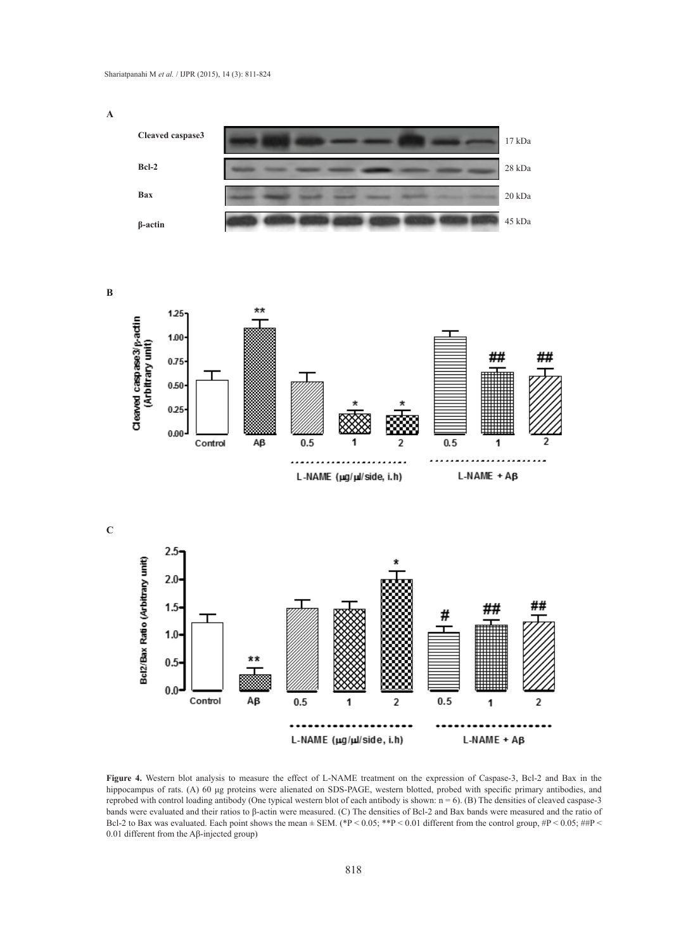**Cleaved caspase3 Bcl-2 Bax β-actin** 17 kDa 28 kDa 45 kDa 20 kDa

**B**

**A**



**C**



**Figure 4.** Western blot analysis to measure the effect of L-NAME treatment on the expression of Caspase-3, Bcl-2 and Bax in the hippocampus of rats. (A) 60 μg proteins were alienated on SDS-PAGE, western blotted, probed with specific primary antibodies, and reprobed with control loading antibody (One typical western blot of each antibody is shown: n = 6). (B) The densities of cleaved caspase-3 bands were evaluated and their ratios to β-actin were measured. (C) The densities of Bcl-2 and Bax bands were measured and the ratio of Bcl-2 to Bax was evaluated. Each point shows the mean  $\pm$  SEM. (\*P < 0.05; \*\*P < 0.01 different from the control group, #P < 0.05; ##P < 0.01 different from the Aβ-injected group)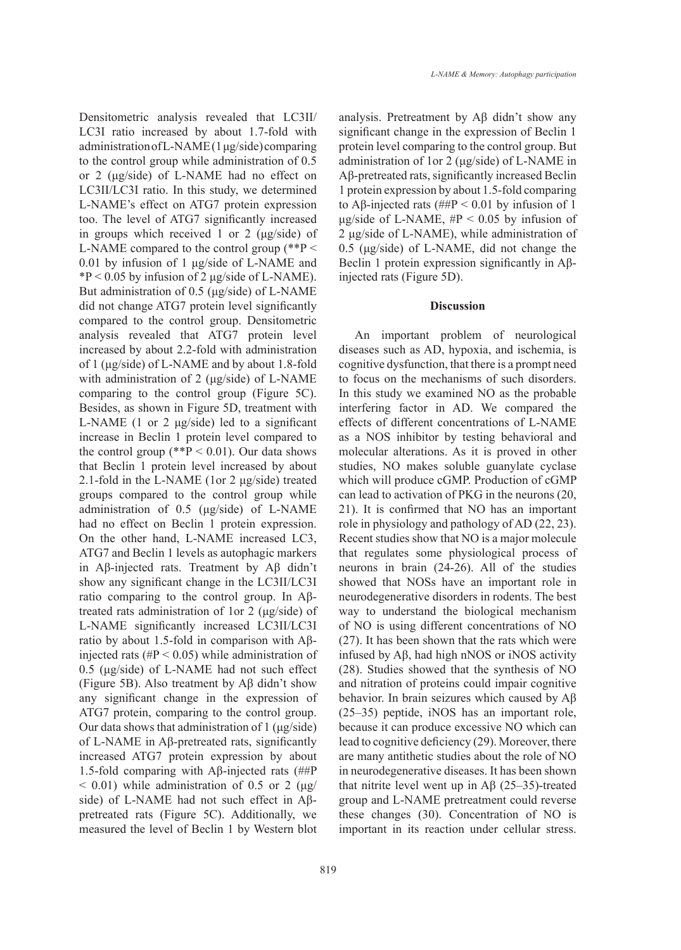Densitometric analysis revealed that LC3ІІ/ LC3I ratio increased by about 1.7-fold with administration of L-NAME (1 μg/side) comparing to the control group while administration of 0.5 or 2 (μg/side) of L-NAME had no effect on LC3II/LC3I ratio. In this study, we determined L-NAME's effect on ATG7 protein expression too. The level of ATG7 significantly increased in groups which received 1 or 2 (μg/side) of L-NAME compared to the control group (\*\*P < 0.01 by infusion of 1 μg/side of L-NAME and  $*P < 0.05$  by infusion of 2 µg/side of L-NAME). But administration of 0.5 (μg/side) of L-NAME did not change ATG7 protein level significantly compared to the control group. Densitometric analysis revealed that ATG7 protein level increased by about 2.2-fold with administration of 1 (μg/side) of L-NAME and by about 1.8-fold with administration of 2 (μg/side) of L-NAME comparing to the control group (Figure 5C). Besides, as shown in Figure 5D, treatment with L-NAME (1 or 2 μg/side) led to a significant increase in Beclin 1 protein level compared to the control group (\*\* $P < 0.01$ ). Our data shows that Beclin 1 protein level increased by about 2.1-fold in the L-NAME (1or 2 μg/side) treated groups compared to the control group while administration of 0.5 (μg/side) of L-NAME had no effect on Beclin 1 protein expression. On the other hand, L-NAME increased LC3, ATG7 and Beclin 1 levels as autophagic markers in Aβ-injected rats. Treatment by Aβ didn't show any significant change in the LC3II/LC3I ratio comparing to the control group. In Aβtreated rats administration of 1or 2 (μg/side) of L-NAME significantly increased LC3II/LC3I ratio by about 1.5-fold in comparison with Aβinjected rats  $(\text{HP} < 0.05)$  while administration of 0.5 (μg/side) of L-NAME had not such effect (Figure 5B). Also treatment by Aβ didn't show any significant change in the expression of ATG7 protein, comparing to the control group. Our data shows that administration of 1 (μg/side) of L-NAME in Aβ-pretreated rats, significantly increased ATG7 protein expression by about 1.5-fold comparing with Aβ-injected rats (##P  $< 0.01$ ) while administration of 0.5 or 2 (μg/ side) of L-NAME had not such effect in Aβpretreated rats (Figure 5C). Additionally, we measured the level of Beclin 1 by Western blot

analysis. Pretreatment by Aβ didn't show any significant change in the expression of Beclin 1 protein level comparing to the control group. But administration of 1or 2 (μg/side) of L-NAME in Aβ-pretreated rats, significantly increased Beclin 1 protein expression by about 1.5-fold comparing to Aβ-injected rats ( $\#$ P < 0.01 by infusion of 1 μg/side of L-NAME,  $#P < 0.05$  by infusion of 2 μg/side of L-NAME), while administration of 0.5 (μg/side) of L-NAME, did not change the Beclin 1 protein expression significantly in Aβinjected rats (Figure 5D).

#### **Discussion**

An important problem of neurological diseases such as AD, hypoxia, and ischemia, is cognitive dysfunction, that there is a prompt need to focus on the mechanisms of such disorders. In this study we examined NO as the probable interfering factor in AD. We compared the effects of different concentrations of L-NAME as a NOS inhibitor by testing behavioral and molecular alterations. As it is proved in other studies, NO makes soluble guanylate cyclase which will produce cGMP. Production of cGMP can lead to activation of PKG in the neurons (20, 21). It is confirmed that NO has an important role in physiology and pathology of AD (22, 23). Recent studies show that NO is a major molecule that regulates some physiological process of neurons in brain (24-26). All of the studies showed that NOSs have an important role in neurodegenerative disorders in rodents. The best way to understand the biological mechanism of NO is using different concentrations of NO (27). It has been shown that the rats which were infused by Aβ, had high nNOS or iNOS activity (28). Studies showed that the synthesis of NO and nitration of proteins could impair cognitive behavior. In brain seizures which caused by Aβ (25–35) peptide, iNOS has an important role, because it can produce excessive NO which can lead to cognitive deficiency (29). Moreover, there are many antithetic studies about the role of NO in neurodegenerative diseases. It has been shown that nitrite level went up in  $\overrightarrow{AB}$  (25–35)-treated group and L-NAME pretreatment could reverse these changes (30). Concentration of NO is important in its reaction under cellular stress.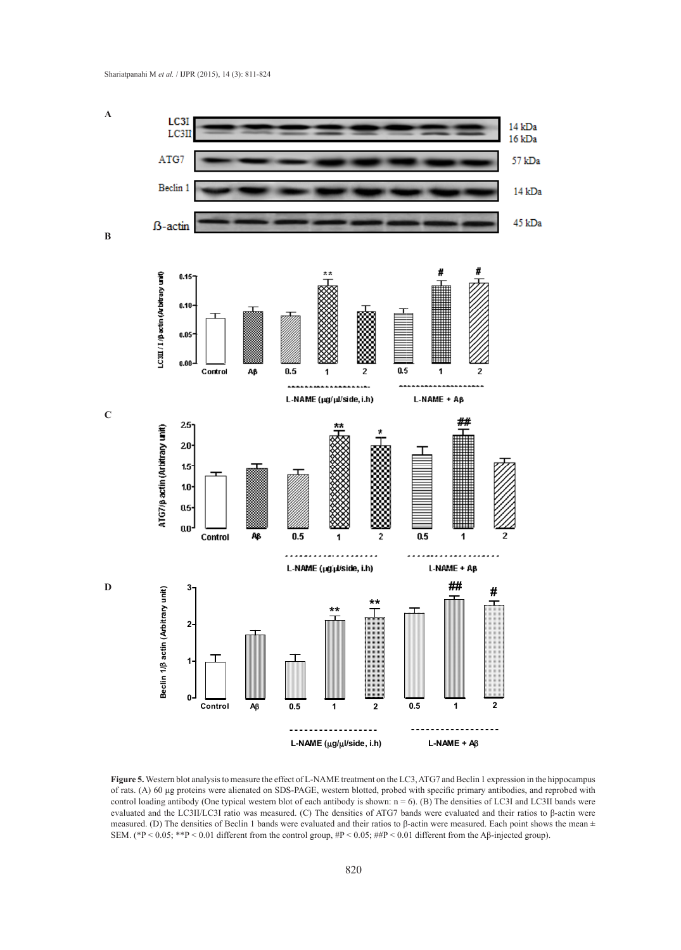

**Figure 5.** Western blot analysis to measure the effect of L-NAME treatment on the LC3, ATG7 and Beclin 1 expression in the hippocampus of rats. (A) 60 μg proteins were alienated on SDS-PAGE, western blotted, probed with specific primary antibodies, and reprobed with control loading antibody (One typical western blot of each antibody is shown:  $n = 6$ ). (B) The densities of LC3I and LC3II bands were evaluated and the LC3ІІ/LC3І ratio was measured. (C) The densities of ATG7 bands were evaluated and their ratios to β-actin were measured. (D) The densities of Beclin 1 bands were evaluated and their ratios to β-actin were measured. Each point shows the mean  $\pm$ <br>SEM (AD 60.05, \*\*B 60.01 different from the expression #D 60.05, ##D 60.01 different SEM. (\*P < 0.05; \*\*P < 0.01 different from the control group,  $\#P$  < 0.05;  $\#HP$  < 0.01 different from the Aβ-injected group).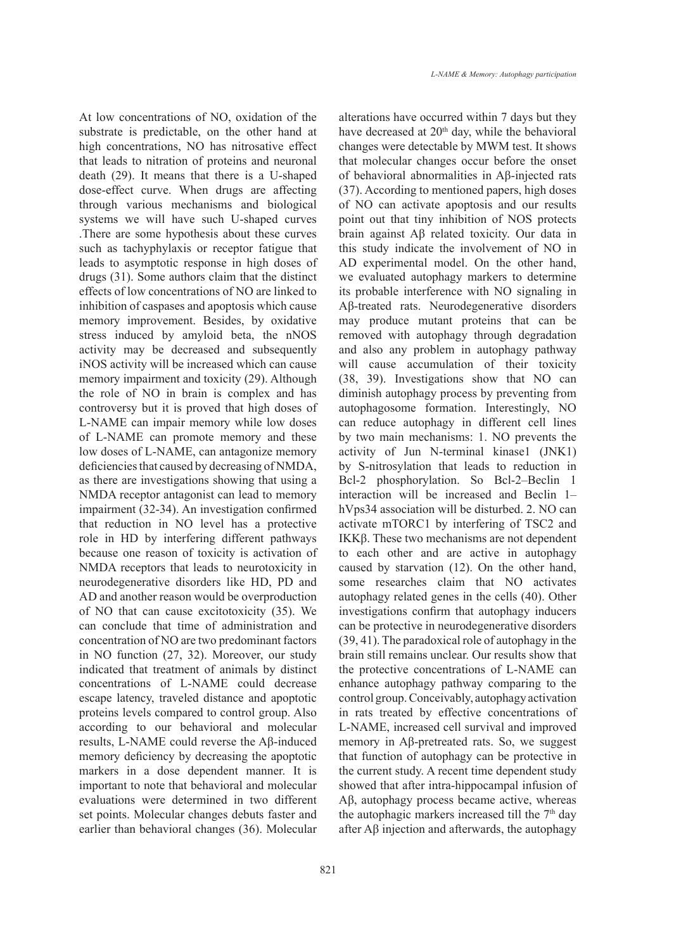At low concentrations of NO, oxidation of the substrate is predictable, on the other hand at high concentrations, NO has nitrosative effect that leads to nitration of proteins and neuronal death (29). It means that there is a U-shaped dose-effect curve. When drugs are affecting through various mechanisms and biological systems we will have such U-shaped curves .There are some hypothesis about these curves such as tachyphylaxis or receptor fatigue that leads to asymptotic response in high doses of drugs (31). Some authors claim that the distinct effects of low concentrations of NO are linked to inhibition of caspases and apoptosis which cause memory improvement. Besides, by oxidative stress induced by amyloid beta, the nNOS activity may be decreased and subsequently iNOS activity will be increased which can cause memory impairment and toxicity (29). Although the role of NO in brain is complex and has controversy but it is proved that high doses of L-NAME can impair memory while low doses of L-NAME can promote memory and these low doses of L-NAME, can antagonize memory deficiencies that caused by decreasing of NMDA, as there are investigations showing that using a NMDA receptor antagonist can lead to memory impairment (32-34). An investigation confirmed that reduction in NO level has a protective role in HD by interfering different pathways because one reason of toxicity is activation of NMDA receptors that leads to neurotoxicity in neurodegenerative disorders like HD, PD and AD and another reason would be overproduction of NO that can cause excitotoxicity (35). We can conclude that time of administration and concentration of NO are two predominant factors in NO function (27, 32). Moreover, our study indicated that treatment of animals by distinct concentrations of L-NAME could decrease escape latency, traveled distance and apoptotic proteins levels compared to control group. Also according to our behavioral and molecular results, L-NAME could reverse the Aβ-induced memory deficiency by decreasing the apoptotic markers in a dose dependent manner. It is important to note that behavioral and molecular evaluations were determined in two different set points. Molecular changes debuts faster and earlier than behavioral changes (36). Molecular

alterations have occurred within 7 days but they have decreased at  $20<sup>th</sup>$  day, while the behavioral changes were detectable by MWM test. It shows that molecular changes occur before the onset of behavioral abnormalities in Aβ-injected rats (37). According to mentioned papers, high doses of NO can activate apoptosis and our results point out that tiny inhibition of NOS protects brain against Aβ related toxicity. Our data in this study indicate the involvement of NO in AD experimental model. On the other hand, we evaluated autophagy markers to determine its probable interference with NO signaling in Aβ-treated rats. Neurodegenerative disorders may produce mutant proteins that can be removed with autophagy through degradation and also any problem in autophagy pathway will cause accumulation of their toxicity (38, 39). Investigations show that NO can diminish autophagy process by preventing from autophagosome formation. Interestingly, NO can reduce autophagy in different cell lines by two main mechanisms: 1. NO prevents the activity of Jun N-terminal kinase1 (JNK1) by S-nitrosylation that leads to reduction in Bcl-2 phosphorylation. So Bcl-2–Beclin 1 interaction will be increased and Beclin 1– hVps34 association will be disturbed. 2. NO can activate mTORC1 by interfering of TSC2 and IKKβ. These two mechanisms are not dependent to each other and are active in autophagy caused by starvation (12). On the other hand, some researches claim that NO activates autophagy related genes in the cells (40). Other investigations confirm that autophagy inducers can be protective in neurodegenerative disorders (39, 41). The paradoxical role of autophagy in the brain still remains unclear. Our results show that the protective concentrations of L-NAME can enhance autophagy pathway comparing to the control group. Conceivably, autophagy activation in rats treated by effective concentrations of L-NAME, increased cell survival and improved memory in Aβ-pretreated rats. So, we suggest that function of autophagy can be protective in the current study. A recent time dependent study showed that after intra-hippocampal infusion of Aβ, autophagy process became active, whereas the autophagic markers increased till the  $7<sup>th</sup>$  day after Aβ injection and afterwards, the autophagy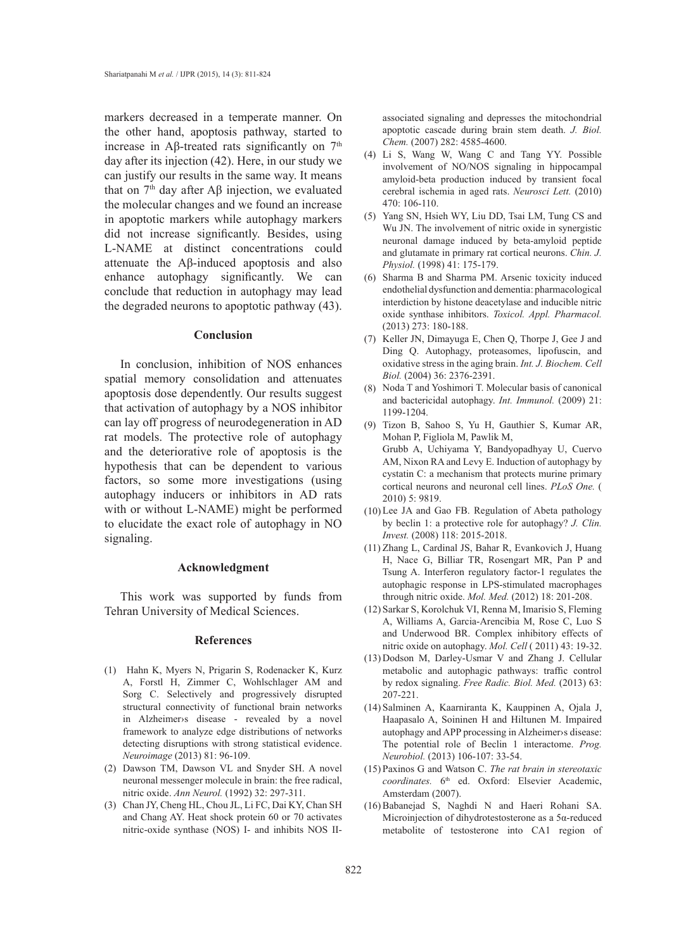markers decreased in a temperate manner. On the other hand, apoptosis pathway, started to increase in Aβ-treated rats significantly on  $7<sup>th</sup>$ day after its injection (42). Here, in our study we can justify our results in the same way. It means that on  $7<sup>th</sup>$  day after Aβ injection, we evaluated the molecular changes and we found an increase in apoptotic markers while autophagy markers did not increase significantly. Besides, using L-NAME at distinct concentrations could attenuate the Aβ-induced apoptosis and also enhance autophagy significantly. We can conclude that reduction in autophagy may lead the degraded neurons to apoptotic pathway (43).

#### **Conclusion**

In conclusion, inhibition of NOS enhances spatial memory consolidation and attenuates apoptosis dose dependently. Our results suggest that activation of autophagy by a NOS inhibitor can lay off progress of neurodegeneration in AD rat models. The protective role of autophagy and the deteriorative role of apoptosis is the hypothesis that can be dependent to various factors, so some more investigations (using autophagy inducers or inhibitors in AD rats with or without L-NAME) might be performed to elucidate the exact role of autophagy in NO signaling.

#### **Acknowledgment**

This work was supported by funds from Tehran University of Medical Sciences.

### **References**

- (1) Hahn K, Myers N, Prigarin S, Rodenacker K, Kurz A, Forstl H, Zimmer C, Wohlschlager AM and Sorg C. Selectively and progressively disrupted structural connectivity of functional brain networks in Alzheimer›s disease - revealed by a novel framework to analyze edge distributions of networks detecting disruptions with strong statistical evidence. *Neuroimage* (2013) 81: 96-109.
- Dawson TM, Dawson VL and Snyder SH. A novel (2) neuronal messenger molecule in brain: the free radical, nitric oxide. *Ann Neurol.* (1992) 32: 297-311.
- Chan JY, Cheng HL, Chou JL, Li FC, Dai KY, Chan SH (3) and Chang AY. Heat shock protein 60 or 70 activates nitric-oxide synthase (NOS) I- and inhibits NOS II-

associated signaling and depresses the mitochondrial apoptotic cascade during brain stem death. *J. Biol. Chem.* (2007) 282: 4585-4600.

- Li S, Wang W, Wang C and Tang YY. Possible (4) involvement of NO/NOS signaling in hippocampal amyloid-beta production induced by transient focal cerebral ischemia in aged rats. *Neurosci Lett.* (2010) 470: 106-110.
- (5) Yang SN, Hsieh WY, Liu DD, Tsai LM, Tung CS and Wu JN. The involvement of nitric oxide in synergistic neuronal damage induced by beta-amyloid peptide and glutamate in primary rat cortical neurons. *Chin. J. Physiol.* (1998) 41: 175-179.
- (6) Sharma B and Sharma PM. Arsenic toxicity induced endothelial dysfunction and dementia: pharmacological interdiction by histone deacetylase and inducible nitric oxide synthase inhibitors. *Toxicol. Appl. Pharmacol.*  (2013) 273: 180-188.
- $(7)$  Keller JN, Dimayuga E, Chen Q, Thorpe J, Gee J and Ding Q. Autophagy, proteasomes, lipofuscin, and oxidative stress in the aging brain. *Int. J. Biochem. Cell Biol.* (2004) 36: 2376-2391.
- Noda T and Yoshimori T. Molecular basis of canonical (8) and bactericidal autophagy. *Int. Immunol.* (2009) 21: 1199-1204.
- Tizon B, Sahoo S, Yu H, Gauthier S, Kumar AR, (9) Mohan P, Figliola M, Pawlik M, Grubb A, Uchiyama Y, Bandyopadhyay U, Cuervo AM, Nixon RA and Levy E. Induction of autophagy by cystatin C: a mechanism that protects murine primary cortical neurons and neuronal cell lines. *PLoS One.* ( 2010) 5: 9819.
- (10) Lee JA and Gao FB. Regulation of Abeta pathology by beclin 1: a protective role for autophagy? *J. Clin. Invest.* (2008) 118: 2015-2018.
- (11) Zhang L, Cardinal JS, Bahar R, Evankovich J, Huang H, Nace G, Billiar TR, Rosengart MR, Pan P and Tsung A. Interferon regulatory factor-1 regulates the autophagic response in LPS-stimulated macrophages through nitric oxide. *Mol. Med.* (2012) 18: 201-208.
- (12) Sarkar S, Korolchuk VI, Renna M, Imarisio S, Fleming A, Williams A, Garcia-Arencibia M, Rose C, Luo S and Underwood BR. Complex inhibitory effects of nitric oxide on autophagy. *Mol. Cell* ( 2011) 43: 19-32.
- (13) Dodson M, Darley-Usmar V and Zhang J. Cellular metabolic and autophagic pathways: traffic control by redox signaling. *Free Radic. Biol. Med.* (2013) 63: 207-221.
- (14) Salminen A, Kaarniranta K, Kauppinen A, Ojala J, Haapasalo A, Soininen H and Hiltunen M. Impaired autophagy and APP processing in Alzheimer›s disease: The potential role of Beclin 1 interactome. *Prog. Neurobiol.* (2013) 106-107: 33-54.
- Paxinos G and Watson C. *The rat brain in stereotaxic*  (15) coordinates. 6<sup>th</sup> ed. Oxford: Elsevier Academic, Amsterdam (2007).
- (16) Babanejad S, Naghdi N and Haeri Rohani SA. Microinjection of dihydrotestosterone as a 5α-reduced metabolite of testosterone into CA1 region of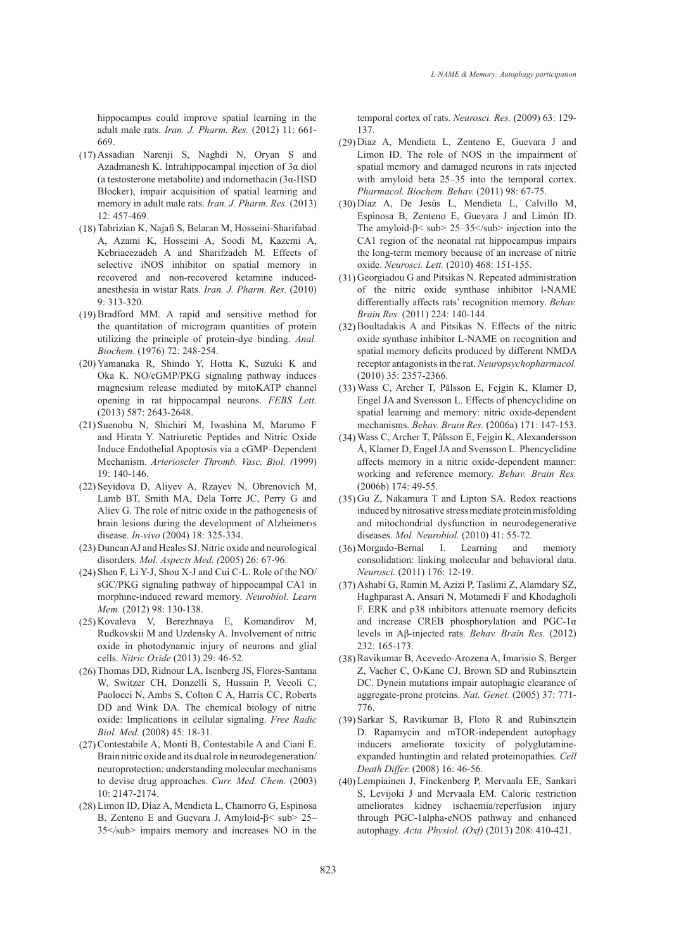hippocampus could improve spatial learning in the adult male rats. *Iran. J. Pharm. Res.* (2012) 11: 661- 669.

- Assadian Narenji S, Naghdi N, Oryan S and (17) Azadmanesh K. Intrahippocampal injection of 3α diol (a testosterone metabolite) and indomethacin (3α-HSD Blocker), impair acquisition of spatial learning and memory in adult male rats. *Iran. J. Pharm. Res.* (2013) 12: 457-469.
- Tabrizian K, Najafi S, Belaran M, Hosseini-Sharifabad (18) A, Azami K, Hosseini A, Soodi M, Kazemi A, Kebriaeezadeh A and Sharifzadeh M*.* Effects of selective iNOS inhibitor on spatial memory in recovered and non-recovered ketamine inducedanesthesia in wistar Rats. *Iran. J. Pharm. Res.* (2010)  $9.313 - 320$
- $(19)$  Bradford MM. A rapid and sensitive method for the quantitation of microgram quantities of protein utilizing the principle of protein-dye binding. *Anal. Biochem.* (1976) 72: 248-254.
- (20) Yamanaka R, Shindo Y, Hotta K, Suzuki K and Oka K. NO/cGMP/PKG signaling pathway induces magnesium release mediated by mitoKATP channel opening in rat hippocampal neurons. *FEBS Lett*. (2013) 587: 2643-2648.
- (21) Suenobu N, Shichiri M, Iwashina M, Marumo F and Hirata Y. Natriuretic Peptides and Nitric Oxide Induce Endothelial Apoptosis via a cGMP–Dependent Mechanism. *Arterioscler Thromb. Vasc. Biol. (*1999) 19: 140-146.
- (22) Seyidova D, Aliyev A, Rzayev N, Obrenovich M, Lamb BT, Smith MA, Dela Torre JC, Perry G and Aliev G. The role of nitric oxide in the pathogenesis of brain lesions during the development of Alzheimer›s disease. *In-vivo* (2004) 18: 325-334.
- Duncan AJ and Heales SJ. Nitric oxide and neurological (23) disorders. *Mol. Aspects Med. (*2005) 26: 67-96.
- (24) Shen F, Li Y-J, Shou X-J and Cui C-L. Role of the NO/ sGC/PKG signaling pathway of hippocampal CA1 in morphine-induced reward memory. *Neurobiol. Learn Mem.* (2012) 98: 130-138.
- (25) Kovaleva V, Berezhnaya E, Komandirov M, Rudkovskii M and Uzdensky A. Involvement of nitric oxide in photodynamic injury of neurons and glial cells. *Nitric Oxide* (2013) 29: 46-52.
- (26) Thomas DD, Ridnour LA, Isenberg JS, Flores-Santana W, Switzer CH, Donzelli S, Hussain P, Vecoli C, Paolocci N, Ambs S, Colton C A, Harris CC, Roberts DD and Wink DA. The chemical biology of nitric oxide: Implications in cellular signaling. *Free Radic Biol. Med.* (2008) 45: 18-31.
- (27) Contestabile A, Monti B, Contestabile A and Ciani E. Brain nitric oxide and its dual role in neurodegeneration/ neuroprotection: understanding molecular mechanisms to devise drug approaches. *Curr. Med. Chem.* (2003) 10: 2147-2174.
- Limon ID, Díaz A, Mendieta L, Chamorro G, Espinosa (28) B, Zenteno E and Guevara J. Amyloid-β< sub> 25– 35</sub> impairs memory and increases NO in the

temporal cortex of rats. *Neurosci. Res.* (2009) 63: 129- 137.

- (29) Diaz A, Mendieta L, Zenteno E, Guevara J and Limon ID. The role of NOS in the impairment of spatial memory and damaged neurons in rats injected with amyloid beta 25–35 into the temporal cortex. *Pharmacol. Biochem. Behav.* (2011) 98: 67-75.
- Díaz A, De Jesús L, Mendieta L, Calvillo M, (30) Espinosa B, Zenteno E, Guevara J and Limón ID. The amyloid-β< sub> 25–35</sub> injection into the CA1 region of the neonatal rat hippocampus impairs the long-term memory because of an increase of nitric oxide. *Neurosci. Lett.* (2010) 468: 151-155.
- (31) Georgiadou G and Pitsikas N. Repeated administration of the nitric oxide synthase inhibitor l-NAME differentially affects rats' recognition memory. *Behav. Brain Res.* (2011) 224: 140-144.
- $(32)$  Boultadakis A and Pitsikas N. Effects of the nitric oxide synthase inhibitor L-NAME on recognition and spatial memory deficits produced by different NMDA receptor antagonists in the rat. *Neuropsychopharmacol.*  (2010) 35: 2357-2366.
- Wass C, Archer T, Pålsson E, Fejgin K, Klamer D, (33) Engel JA and Svensson L. Effects of phencyclidine on spatial learning and memory: nitric oxide-dependent mechanisms. *Behav. Brain Res.* (2006a) 171: 147-153.
- Wass C, Archer T, Pålsson E, Fejgin K, Alexandersson (34) Å, Klamer D, Engel JA and Svensson L. Phencyclidine affects memory in a nitric oxide-dependent manner: working and reference memory. *Behav. Brain Res.*  (2006b) 174: 49-55.
- $(35)$  Gu Z, Nakamura T and Lipton SA. Redox reactions induced by nitrosative stress mediate protein misfolding and mitochondrial dysfunction in neurodegenerative diseases. *Mol. Neurobiol.* (2010) 41: 55-72.
- (36) Morgado-Bernal I. Learning and memory consolidation: linking molecular and behavioral data. *Neurosci.* (2011) 176: 12-19.
- Ashabi G, Ramin M, Azizi P, Taslimi Z, Alamdary SZ, (37) Haghparast A, Ansari N, Motamedi F and Khodagholi F. ERK and p38 inhibitors attenuate memory deficits and increase CREB phosphorylation and PGC-1α levels in Aβ-injected rats. *Behav. Brain Res.* (2012) 232: 165-173.
- (38) Ravikumar B, Acevedo-Arozena A, Imarisio S, Berger Z, Vacher C, O›Kane CJ, Brown SD and Rubinsztein DC. Dynein mutations impair autophagic clearance of aggregate-prone proteins. *Nat. Genet.* (2005) 37: 771- 776.
- (39) Sarkar S, Ravikumar B, Floto R and Rubinsztein D. Rapamycin and mTOR-independent autophagy inducers ameliorate toxicity of polyglutamineexpanded huntingtin and related proteinopathies. *Cell Death Differ.* (2008) 16: 46-56.
- Lempiainen J, Finckenberg P, Mervaala EE, Sankari (40)S, Levijoki J and Mervaala EM. Caloric restriction ameliorates kidney ischaemia/reperfusion injury through PGC-1alpha-eNOS pathway and enhanced autophagy. *Acta. Physiol. (Oxf)* (2013) 208: 410-421.